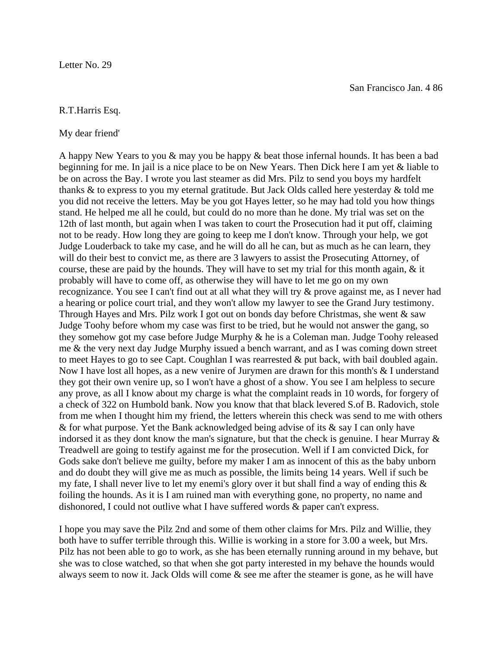## R.T.Harris Esq.

## My dear friend'

A happy New Years to you & may you be happy & beat those infernal hounds. It has been a bad beginning for me. In jail is a nice place to be on New Years. Then Dick here I am yet & liable to be on across the Bay. I wrote you last steamer as did Mrs. Pilz to send you boys my hardfelt thanks & to express to you my eternal gratitude. But Jack Olds called here yesterday & told me you did not receive the letters. May be you got Hayes letter, so he may had told you how things stand. He helped me all he could, but could do no more than he done. My trial was set on the 12th of last month, but again when I was taken to court the Prosecution had it put off, claiming not to be ready. How long they are going to keep me I don't know. Through your help, we got Judge Louderback to take my case, and he will do all he can, but as much as he can learn, they will do their best to convict me, as there are 3 lawyers to assist the Prosecuting Attorney, of course, these are paid by the hounds. They will have to set my trial for this month again, & it probably will have to come off, as otherwise they will have to let me go on my own recognizance. You see I can't find out at all what they will try & prove against me, as I never had a hearing or police court trial, and they won't allow my lawyer to see the Grand Jury testimony. Through Hayes and Mrs. Pilz work I got out on bonds day before Christmas, she went & saw Judge Toohy before whom my case was first to be tried, but he would not answer the gang, so they somehow got my case before Judge Murphy & he is a Coleman man. Judge Toohy released me & the very next day Judge Murphy issued a bench warrant, and as I was coming down street to meet Hayes to go to see Capt. Coughlan I was rearrested & put back, with bail doubled again. Now I have lost all hopes, as a new venire of Jurymen are drawn for this month's & I understand they got their own venire up, so I won't have a ghost of a show. You see I am helpless to secure any prove, as all I know about my charge is what the complaint reads in 10 words, for forgery of a check of 322 on Humbold bank. Now you know that that black levered S.of B. Radovich, stole from me when I thought him my friend, the letters wherein this check was send to me with others & for what purpose. Yet the Bank acknowledged being advise of its  $\&$  say I can only have indorsed it as they dont know the man's signature, but that the check is genuine. I hear Murray & Treadwell are going to testify against me for the prosecution. Well if I am convicted Dick, for Gods sake don't believe me guilty, before my maker I am as innocent of this as the baby unborn and do doubt they will give me as much as possible, the limits being 14 years. Well if such be my fate, I shall never live to let my enemi's glory over it but shall find a way of ending this  $\&$ foiling the hounds. As it is I am ruined man with everything gone, no property, no name and dishonored, I could not outlive what I have suffered words & paper can't express.

I hope you may save the Pilz 2nd and some of them other claims for Mrs. Pilz and Willie, they both have to suffer terrible through this. Willie is working in a store for 3.00 a week, but Mrs. Pilz has not been able to go to work, as she has been eternally running around in my behave, but she was to close watched, so that when she got party interested in my behave the hounds would always seem to now it. Jack Olds will come & see me after the steamer is gone, as he will have